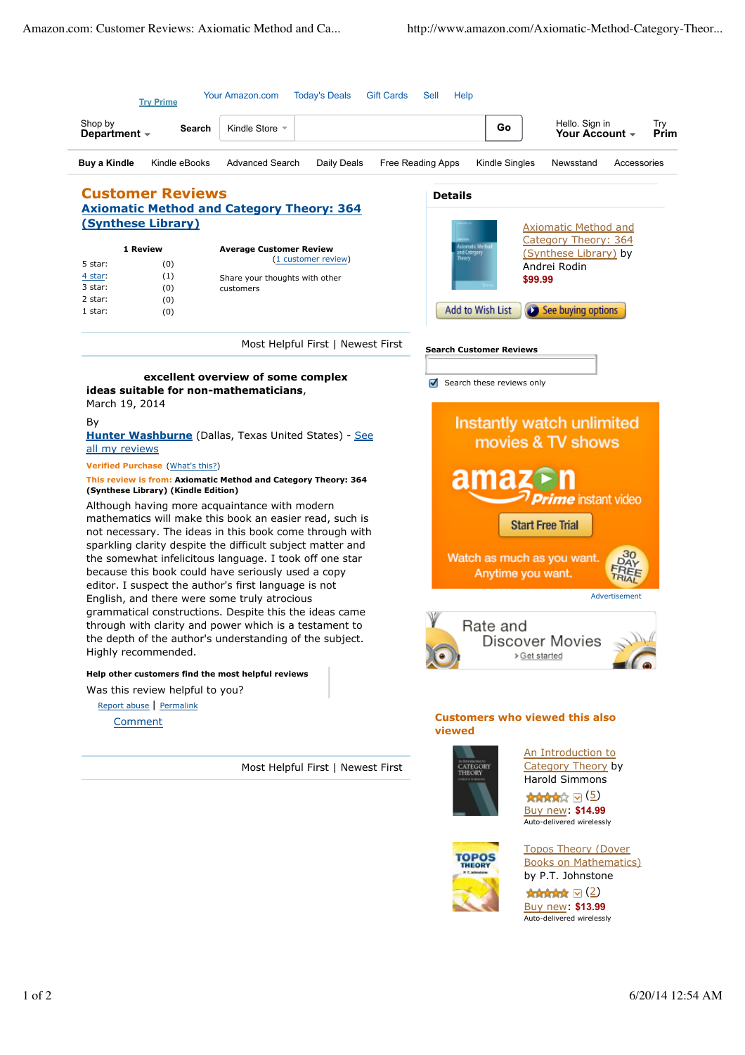